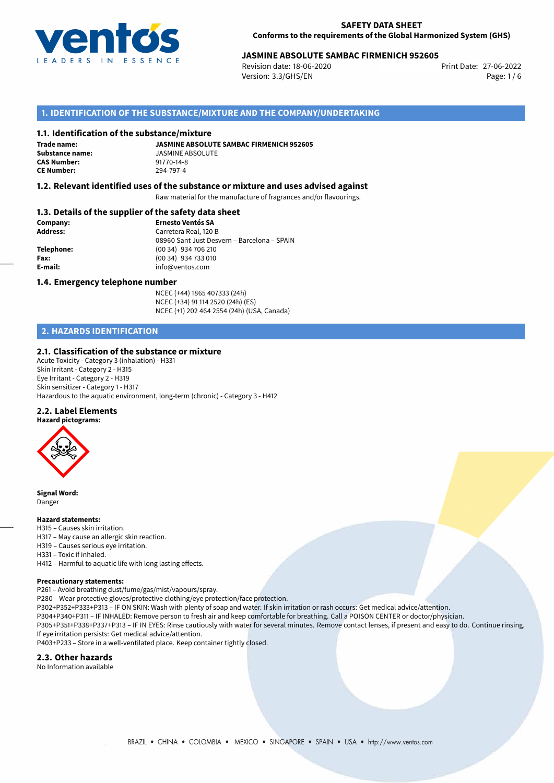

# 27-06-2022 **JASMINE ABSOLUTE SAMBAC FIRMENICH 952605**

Revision date: 18-06-2020 Version: 3.3/GHS/EN Page: 1/6

# **1. IDENTIFICATION OF THE SUBSTANCE/MIXTURE AND THE COMPANY/UNDERTAKING**

#### **1.1. Identification of the substance/mixture**

**Trade name: CAS Number: CE Number:** 294-797-4

**JASMINE ABSOLUTE SAMBAC FIRMENICH 952605 Substance name:** JASMINE ABSOLUTE<br> **CAS Number:** 91770-14-8

## **1.2. Relevant identified uses of the substance or mixture and uses advised against**

Raw material for the manufacture of fragrances and/or flavourings.

# **1.3. Details of the supplier of the safety data sheet**

| Company:        | <b>Ernesto Ventós SA</b>                    |
|-----------------|---------------------------------------------|
| <b>Address:</b> | Carretera Real, 120 B                       |
|                 | 08960 Sant Just Desvern - Barcelona - SPAIN |
| Telephone:      | (00 34) 934 706 210                         |
| Fax:            | (00 34) 934 733 010                         |
| E-mail:         | info@ventos.com                             |
|                 |                                             |

#### **1.4. Emergency telephone number**

NCEC (+44) 1865 407333 (24h) NCEC (+34) 91 114 2520 (24h) (ES) NCEC (+1) 202 464 2554 (24h) (USA, Canada)

# **2. HAZARDS IDENTIFICATION**

#### **2.1. Classification of the substance or mixture**

Acute Toxicity - Category 3 (inhalation) - H331 Skin Irritant - Category 2 - H315 Eye Irritant - Category 2 - H319 Skin sensitizer - Category 1 - H317 Hazardous to the aquatic environment, long-term (chronic) - Category 3 - H412

#### **2.2. Label Elements**



**Signal Word:** Danger

#### **Hazard statements:**

- H315 Causes skin irritation.
- H317 May cause an allergic skin reaction.
- H319 Causes serious eye irritation.
- H331 Toxic if inhaled.

H412 – Harmful to aquatic life with long lasting effects.

#### **Precautionary statements:**

P261 – Avoid breathing dust/fume/gas/mist/vapours/spray.

P280 – Wear protective gloves/protective clothing/eye protection/face protection.

P302+P352+P333+P313 – IF ON SKIN: Wash with plenty of soap and water. If skin irritation or rash occurs: Get medical advice/attention.

P304+P340+P311 – IF INHALED: Remove person to fresh air and keep comfortable for breathing. Call a POISON CENTER or doctor/physician. P305+P351+P338+P337+P313 – IF IN EYES: Rinse cautiously with water for several minutes. Remove contact lenses, if present and easy to do. Continue rinsing. If eye irritation persists: Get medical advice/attention.

P403+P233 – Store in a well-ventilated place. Keep container tightly closed.

#### **2.3. Other hazards**

No Information available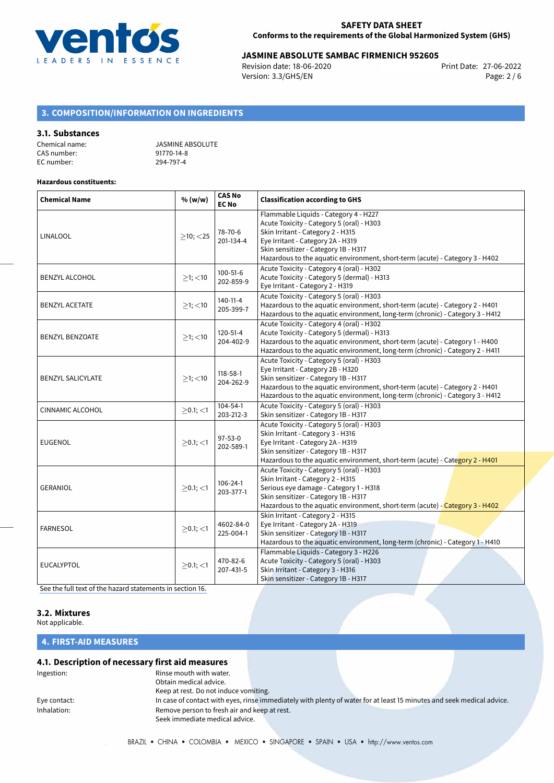

# 27-06-2022 **JASMINE ABSOLUTE SAMBAC FIRMENICH 952605**

Revision date: 18-06-2020 Version: 3.3/GHS/EN Page: 2 / 6

# **3. COMPOSITION/INFORMATION ON INGREDIENTS**

#### **3.1. Substances**

| Chemical name: | <b>JASMINE ABSOLUTE</b> |
|----------------|-------------------------|
| CAS number:    | 91770-14-8              |
| EC number:     | 294-797-4               |

#### **Hazardous constituents:**

| <b>Chemical Name</b>     | % (w/w)        | <b>CAS No</b><br><b>EC No</b> | <b>Classification according to GHS</b>                                                                                                                                                                                                                                                  |
|--------------------------|----------------|-------------------------------|-----------------------------------------------------------------------------------------------------------------------------------------------------------------------------------------------------------------------------------------------------------------------------------------|
| <b>LINALOOL</b>          | $\geq$ 10; <25 | 78-70-6<br>201-134-4          | Flammable Liquids - Category 4 - H227<br>Acute Toxicity - Category 5 (oral) - H303<br>Skin Irritant - Category 2 - H315<br>Eye Irritant - Category 2A - H319<br>Skin sensitizer - Category 1B - H317<br>Hazardous to the aquatic environment, short-term (acute) - Category 3 - H402    |
| <b>BENZYL ALCOHOL</b>    | $>1$ ; <10     | $100 - 51 - 6$<br>202-859-9   | Acute Toxicity - Category 4 (oral) - H302<br>Acute Toxicity - Category 5 (dermal) - H313<br>Eye Irritant - Category 2 - H319                                                                                                                                                            |
| <b>BENZYL ACETATE</b>    | $>1$ ; <10     | 140-11-4<br>205-399-7         | Acute Toxicity - Category 5 (oral) - H303<br>Hazardous to the aquatic environment, short-term (acute) - Category 2 - H401<br>Hazardous to the aquatic environment, long-term (chronic) - Category 3 - H412                                                                              |
| <b>BENZYL BENZOATE</b>   | $>1$ ; <10     | $120 - 51 - 4$<br>204-402-9   | Acute Toxicity - Category 4 (oral) - H302<br>Acute Toxicity - Category 5 (dermal) - H313<br>Hazardous to the aquatic environment, short-term (acute) - Category 1 - H400<br>Hazardous to the aquatic environment, long-term (chronic) - Category 2 - H411                               |
| <b>BENZYL SALICYLATE</b> | $>1$ ; <10     | 118-58-1<br>204-262-9         | Acute Toxicity - Category 5 (oral) - H303<br>Eye Irritant - Category 2B - H320<br>Skin sensitizer - Category 1B - H317<br>Hazardous to the aquatic environment, short-term (acute) - Category 2 - H401<br>Hazardous to the aquatic environment, long-term (chronic) - Category 3 - H412 |
| <b>CINNAMIC ALCOHOL</b>  | $\geq$ 0.1; <1 | 104-54-1<br>203-212-3         | Acute Toxicity - Category 5 (oral) - H303<br>Skin sensitizer - Category 1B - H317                                                                                                                                                                                                       |
| <b>EUGENOL</b>           | $>0.1$ ; <1    | 97-53-0<br>202-589-1          | Acute Toxicity - Category 5 (oral) - H303<br>Skin Irritant - Category 3 - H316<br>Eye Irritant - Category 2A - H319<br>Skin sensitizer - Category 1B - H317<br>Hazardous to the aquatic environment, short-term (acute) - Category 2 - H401                                             |
| <b>GERANIOL</b>          | $>0.1$ ; <1    | $106 - 24 - 1$<br>203-377-1   | Acute Toxicity - Category 5 (oral) - H303<br>Skin Irritant - Category 2 - H315<br>Serious eye damage - Category 1 - H318<br>Skin sensitizer - Category 1B - H317<br>Hazardous to the aquatic environment, short-term (acute) - Category 3 - H402                                        |
| <b>FARNESOL</b>          | $>0.1$ ; <1    | 4602-84-0<br>225-004-1        | Skin Irritant - Category 2 - H315<br>Eye Irritant - Category 2A - H319<br>Skin sensitizer - Category 1B - H317<br>Hazardous to the aquatic environment, long-term (chronic) - Category 1 - H410                                                                                         |
| <b>EUCALYPTOL</b>        | $>0.1$ ; <1    | 470-82-6<br>207-431-5         | Flammable Liquids - Category 3 - H226<br>Acute Toxicity - Category 5 (oral) - H303<br>Skin Irritant - Category 3 - H316<br>Skin sensitizer - Category 1B - H317                                                                                                                         |

[See the full text of the hazard statements in section 16.](#page-4-0)

#### **3.2. Mixtures**

Not applicable.

# **4. FIRST-AID MEASURES**

# **4.1. Description of necessary first aid measures**

| Ingestion:   | Rinse mouth with water.                      |                                                                                                                       |  |
|--------------|----------------------------------------------|-----------------------------------------------------------------------------------------------------------------------|--|
|              | Obtain medical advice.                       |                                                                                                                       |  |
|              | Keep at rest. Do not induce vomiting.        |                                                                                                                       |  |
| Eye contact: |                                              | In case of contact with eyes, rinse immediately with plenty of water for at least 15 minutes and seek medical advice. |  |
| Inhalation:  | Remove person to fresh air and keep at rest. |                                                                                                                       |  |
|              | Seek immediate medical advice.               |                                                                                                                       |  |
|              |                                              |                                                                                                                       |  |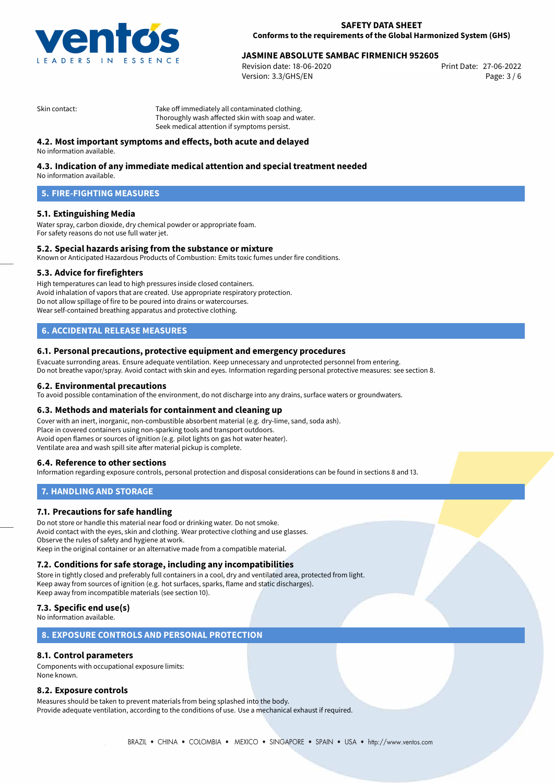

# 27-06-2022 **JASMINE ABSOLUTE SAMBAC FIRMENICH 952605**

Revision date: 18-06-2020 Version: 3.3/GHS/EN Page: 3 / 6

Skin contact: Take off immediately all contaminated clothing. Thoroughly wash affected skin with soap and water. Seek medical attention if symptoms persist.

# **4.2. Most important symptoms and effects, both acute and delayed**

No information available.

# **4.3. Indication of any immediate medical attention and special treatment needed**

No information available.

# **5. FIRE-FIGHTING MEASURES**

## **5.1. Extinguishing Media**

Water spray, carbon dioxide, dry chemical powder or appropriate foam. For safety reasons do not use full water jet.

## **5.2. Special hazards arising from the substance or mixture**

Known or Anticipated Hazardous Products of Combustion: Emits toxic fumes under fire conditions.

## **5.3. Advice for firefighters**

High temperatures can lead to high pressures inside closed containers. Avoid inhalation of vapors that are created. Use appropriate respiratory protection. Do not allow spillage of fire to be poured into drains or watercourses. Wear self-contained breathing apparatus and protective clothing.

# **6. ACCIDENTAL RELEASE MEASURES**

#### **6.1. Personal precautions, protective equipment and emergency procedures**

Evacuate surronding areas. Ensure adequate ventilation. Keep unnecessary and unprotected personnel from entering. Do not breathe vapor/spray. Avoid contact with skin and eyes. Information regarding personal protective measures: see section 8.

#### **6.2. Environmental precautions**

To avoid possible contamination of the environment, do not discharge into any drains, surface waters or groundwaters.

#### **6.3. Methods and materials for containment and cleaning up**

Cover with an inert, inorganic, non-combustible absorbent material (e.g. dry-lime, sand, soda ash). Place in covered containers using non-sparking tools and transport outdoors. Avoid open flames or sources of ignition (e.g. pilot lights on gas hot water heater). Ventilate area and wash spill site after material pickup is complete.

## **6.4. Reference to other sections**

Information regarding exposure controls, personal protection and disposal considerations can be found in sections 8 and 13.

## **7. HANDLING AND STORAGE**

## **7.1. Precautions for safe handling**

Do not store or handle this material near food or drinking water. Do not smoke. Avoid contact with the eyes, skin and clothing. Wear protective clothing and use glasses. Observe the rules of safety and hygiene at work. Keep in the original container or an alternative made from a compatible material.

## **7.2. Conditions for safe storage, including any incompatibilities**

Store in tightly closed and preferably full containers in a cool, dry and ventilated area, protected from light. Keep away from sources of ignition (e.g. hot surfaces, sparks, flame and static discharges). Keep away from incompatible materials (see section 10).

# **7.3. Specific end use(s)**

No information available.

# **8. EXPOSURE CONTROLS AND PERSONAL PROTECTION**

## **8.1. Control parameters**

Components with occupational exposure limits: None known.

## **8.2. Exposure controls**

Measures should be taken to prevent materials from being splashed into the body. Provide adequate ventilation, according to the conditions of use. Use a mechanical exhaust if required.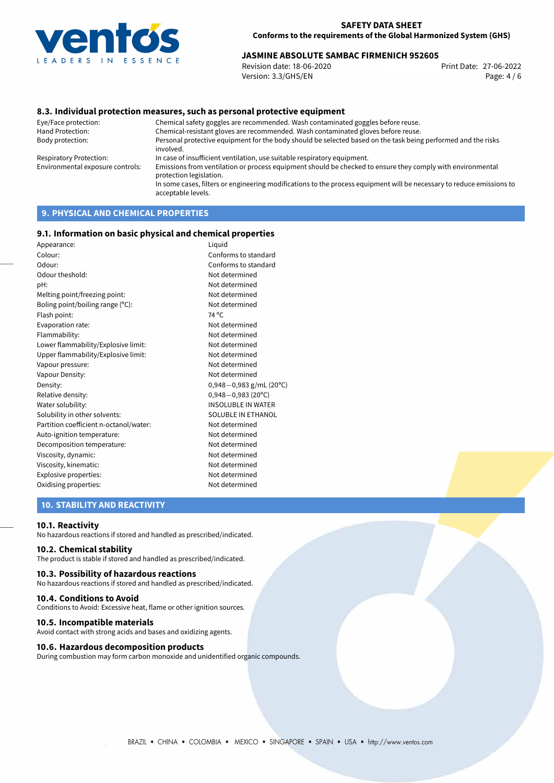

# 27-06-2022 **JASMINE ABSOLUTE SAMBAC FIRMENICH 952605**

Revision date: 18-06-2020 Version: 3.3/GHS/EN Page: 4 / 6

## **8.3. Individual protection measures, such as personal protective equipment**

Eye/Face protection: Chemical safety goggles are recommended. Wash contaminated goggles before reuse. Chemical-resistant gloves are recommended. Wash contaminated gloves before reuse. Body protection: Personal protective equipment for the body should be selected based on the task being performed and the risks involved. Respiratory Protection: In case of insufficient ventilation, use suitable respiratory equipment. Environmental exposure controls: Emissions from ventilation or process equipment should be checked to ensure they comply with environmental protection legislation. In some cases, filters or engineering modifications to the process equipment will be necessary to reduce emissions to acceptable levels.

# **9. PHYSICAL AND CHEMICAL PROPERTIES**

#### **9.1. Information on basic physical and chemical properties**

| Liquid                      |
|-----------------------------|
| Conforms to standard        |
| Conforms to standard        |
| Not determined              |
| Not determined              |
| Not determined              |
| Not determined              |
| 74 °C                       |
| Not determined              |
| Not determined              |
| Not determined              |
| Not determined              |
| Not determined              |
| Not determined              |
| $0,948 - 0,983$ g/mL (20°C) |
| $0,948 - 0,983$ (20°C)      |
| <b>INSOLUBLE IN WATER</b>   |
| SOLUBLE IN ETHANOL          |
| Not determined              |
| Not determined              |
| Not determined              |
| Not determined              |
| Not determined              |
| Not determined              |
| Not determined              |
|                             |

# **10. STABILITY AND REACTIVITY**

#### **10.1. Reactivity**

No hazardous reactions if stored and handled as prescribed/indicated.

## **10.2. Chemical stability**

The product is stable if stored and handled as prescribed/indicated.

#### **10.3. Possibility of hazardous reactions**

No hazardous reactions if stored and handled as prescribed/indicated.

#### **10.4. Conditions to Avoid**

Conditions to Avoid: Excessive heat, flame or other ignition sources.

#### **10.5. Incompatible materials**

Avoid contact with strong acids and bases and oxidizing agents.

#### **10.6. Hazardous decomposition products**

During combustion may form carbon monoxide and unidentified organic compounds.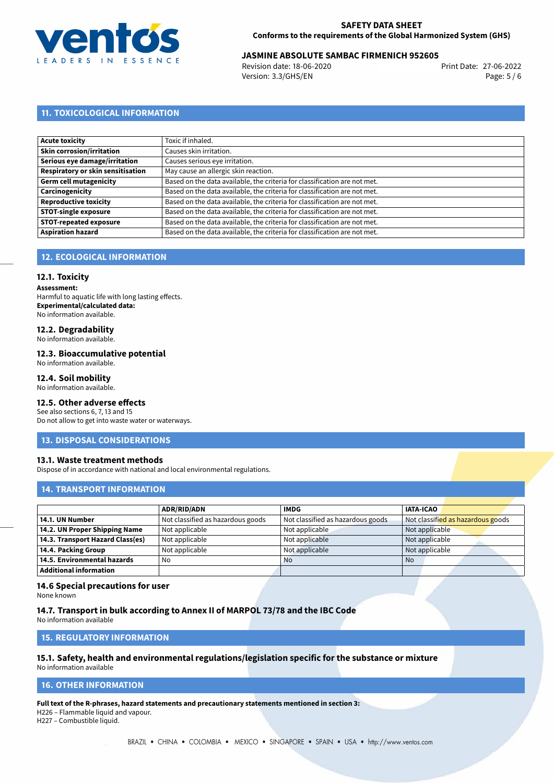

# 27-06-2022 **JASMINE ABSOLUTE SAMBAC FIRMENICH 952605**

Revision date: 18-06-2020 Version: 3.3/GHS/EN Page: 5 / 6

# **11. TOXICOLOGICAL INFORMATION**

| Acute toxicity                           | Toxic if inhaled.                                                         |
|------------------------------------------|---------------------------------------------------------------------------|
|                                          |                                                                           |
| Skin corrosion/irritation                | Causes skin irritation.                                                   |
| Serious eye damage/irritation            | Causes serious eye irritation.                                            |
| <b>Respiratory or skin sensitisation</b> | May cause an allergic skin reaction.                                      |
| Germ cell mutagenicity                   | Based on the data available, the criteria for classification are not met. |
| Carcinogenicity                          | Based on the data available, the criteria for classification are not met. |
| Reproductive toxicity                    | Based on the data available, the criteria for classification are not met. |
| STOT-single exposure                     | Based on the data available, the criteria for classification are not met. |
| <b>STOT-repeated exposure</b>            | Based on the data available, the criteria for classification are not met. |
| <b>Aspiration hazard</b>                 | Based on the data available, the criteria for classification are not met. |

# **12. ECOLOGICAL INFORMATION**

#### **12.1. Toxicity**

**Assessment:** Harmful to aquatic life with long lasting effects. **Experimental/calculated data:** No information available.

# **12.2. Degradability**

No information available.

#### **12.3. Bioaccumulative potential**

No information available.

## **12.4. Soil mobility**

No information available.

# **12.5. Other adverse effects**

See also sections 6, 7, 13 and 15 Do not allow to get into waste water or waterways.

#### **13. DISPOSAL CONSIDERATIONS**

#### **13.1. Waste treatment methods**

Dispose of in accordance with national and local environmental regulations.

# **14. TRANSPORT INFORMATION**

|                                  | <b>ADR/RID/ADN</b>                | <b>IMDG</b>                       | <b>IATA-ICAO</b>                  |
|----------------------------------|-----------------------------------|-----------------------------------|-----------------------------------|
| 14.1. UN Number                  | Not classified as hazardous goods | Not classified as hazardous goods | Not classified as hazardous goods |
| 14.2. UN Proper Shipping Name    | Not applicable                    | Not applicable                    | Not applicable                    |
| 14.3. Transport Hazard Class(es) | Not applicable                    | Not applicable                    | Not applicable                    |
| 14.4. Packing Group              | Not applicable                    | Not applicable                    | Not applicable                    |
| 14.5. Environmental hazards      | No                                | <b>No</b>                         | <b>No</b>                         |
| <b>Additional information</b>    |                                   |                                   |                                   |

#### **14.6 Special precautions for user**

None known

# **14.7. Transport in bulk according to Annex II of MARPOL 73/78 and the IBC Code**

No information available

## **15. REGULATORY INFORMATION**

#### **15.1. Safety, health and environmental regulations/legislation specific for the substance or mixture** No information available

# <span id="page-4-0"></span>**16. OTHER INFORMATION**

**Full text of the R-phrases, hazard statements and precautionary statements mentioned in section 3:**

H226 – Flammable liquid and vapour.